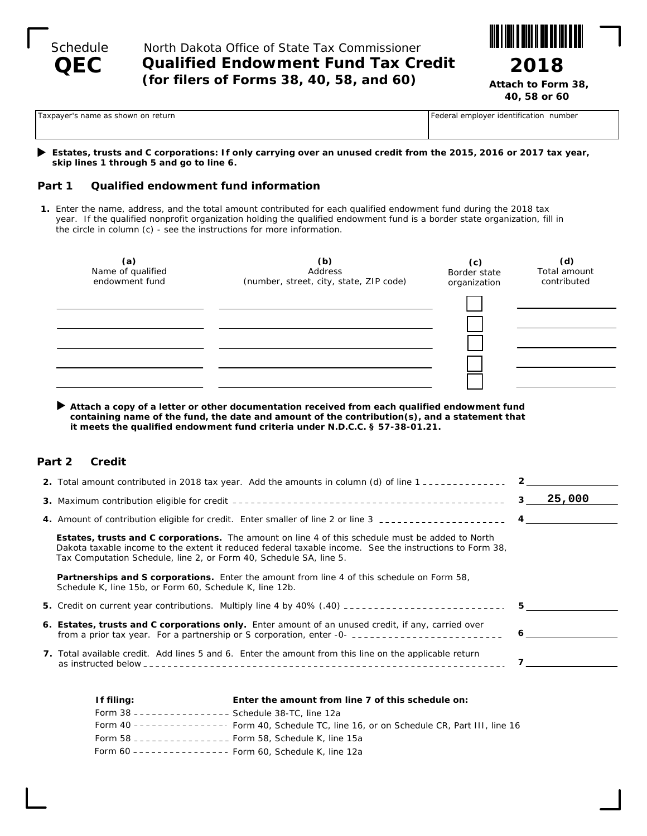

## Schedule Morth Dakota Office of State Tax Commissioner **Qualified Endowment Fund Tax Credit (for filers of Forms 38, 40, 58, and 60)**



*2018*

*Attach to Form 38, 40, 58 or 60*

| Taxpayer's name as shown on return |  |
|------------------------------------|--|
|------------------------------------|--|

Federal employer identification number

**Estates, trusts and C corporations: If only carrying over an unused credit from the 2015, 2016 or 2017 tax year, skip lines 1 through 5 and go to line 6.**

#### **Part 1 Qualified endowment fund information**

**1.** Enter the name, address, and the total amount contributed for each qualified endowment fund during the 2018 tax year. If the qualified nonprofit organization holding the qualified endowment fund is a border state organization, fill in the circle in column (c) - see the instructions for more information.

| (a)<br>Name of qualified<br>endowment fund                                          | (b)<br>Address<br>(number, street, city, state, ZIP code) | (c)<br>Border state<br>organization | (d)<br>Total amount<br>contributed |
|-------------------------------------------------------------------------------------|-----------------------------------------------------------|-------------------------------------|------------------------------------|
|                                                                                     |                                                           |                                     |                                    |
|                                                                                     |                                                           |                                     |                                    |
|                                                                                     |                                                           |                                     |                                    |
|                                                                                     |                                                           |                                     |                                    |
|                                                                                     |                                                           |                                     |                                    |
| the company of the company of the<br>그 사람들은 그 사람들은 그 사람들은 그 사람들을 지르며 그 사람들을 만들고 있다. |                                                           |                                     |                                    |

 **Attach a copy of a letter or other documentation received from each qualified endowment fund containing name of the fund, the date and amount of the contribution(s), and a statement that it meets the qualified endowment fund criteria under N.D.C.C. § 57-38-01.21.**

#### **Part 2 Credit**

| 2. Total amount contributed in 2018 tax year. Add the amounts in column (d) of line $1 - 1 - 1 - 1 - 1 - 1$                                                                                                                                                                              |             |        |
|------------------------------------------------------------------------------------------------------------------------------------------------------------------------------------------------------------------------------------------------------------------------------------------|-------------|--------|
|                                                                                                                                                                                                                                                                                          | $3^{\circ}$ | 25,000 |
| 4. Amount of contribution eligible for credit. Enter smaller of line 2 or line 3 _________________________4                                                                                                                                                                              |             |        |
| <b>Estates, trusts and C corporations.</b> The amount on line 4 of this schedule must be added to North<br>Dakota taxable income to the extent it reduced federal taxable income. See the instructions to Form 38,<br>Tax Computation Schedule, line 2, or Form 40, Schedule SA, line 5. |             |        |
| <b>Partnerships and S corporations.</b> Enter the amount from line 4 of this schedule on Form 58,<br>Schedule K, line 15b, or Form 60, Schedule K, line 12b.                                                                                                                             |             |        |
| 5. Credit on current year contributions. Multiply line 4 by 40% (.40) _____________________________                                                                                                                                                                                      |             |        |
| 6. Estates, trusts and C corporations only. Enter amount of an unused credit, if any, carried over<br>from a prior tax year. For a partnership or S corporation, enter -0--------------------------                                                                                      |             |        |
| 7. Total available credit. Add lines 5 and 6. Enter the amount from this line on the applicable return                                                                                                                                                                                   |             |        |
|                                                                                                                                                                                                                                                                                          |             |        |
|                                                                                                                                                                                                                                                                                          |             |        |

| If filing:                                             | Enter the amount from line 7 of this schedule on:                                           |
|--------------------------------------------------------|---------------------------------------------------------------------------------------------|
| Form 38 --------------- Schedule 38-TC, line 12a       |                                                                                             |
|                                                        | Form 40 --------------- Form 40, Schedule TC, line 16, or on Schedule CR, Part III, line 16 |
| Form 58 ---------------- Form 58, Schedule K, line 15a |                                                                                             |
|                                                        | Form 60 ----------------    Form 60, Schedule K, line 12a                                   |